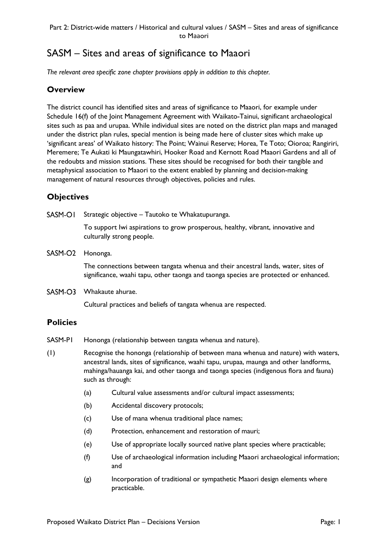# SASM – Sites and areas of significance to Maaori

*The relevant area specific zone chapter provisions apply in addition to this chapter.*

### **Overview**

The district council has identified sites and areas of significance to Maaori, for example under Schedule 16(f) of the Joint Management Agreement with Waikato-Tainui, significant archaeological sites such as paa and urupaa. While individual sites are noted on the district plan maps and managed under the district plan rules, special mention is being made here of cluster sites which make up 'significant areas' of Waikato history: The Point; Wainui Reserve; Horea, Te Toto; Oioroa; Rangiriri, Meremere; Te Aukati ki Maungatawhiri, Hooker Road and Kernott Road Maaori Gardens and all of the redoubts and mission stations. These sites should be recognised for both their tangible and metaphysical association to Maaori to the extent enabled by planning and decision-making management of natural resources through objectives, policies and rules.

## **Objectives**

SASM-OI Strategic objective – Tautoko te Whakatupuranga.

To support Iwi aspirations to grow prosperous, healthy, vibrant, innovative and culturally strong people.

SASM-O2 Hononga.

The connections between tangata whenua and their ancestral lands, water, sites of significance, waahi tapu, other taonga and taonga species are protected or enhanced.

SASM-O3 Whakaute ahurae.

Cultural practices and beliefs of tangata whenua are respected.

### **Policies**

- SASM-P1 Hononga (relationship between tangata whenua and nature).
- (1) Recognise the hononga (relationship of between mana whenua and nature) with waters, ancestral lands, sites of significance, waahi tapu, urupaa, maunga and other landforms, mahinga/hauanga kai, and other taonga and taonga species (indigenous flora and fauna) such as through:
	- (a) Cultural value assessments and/or cultural impact assessments;
	- (b) Accidental discovery protocols;
	- (c) Use of mana whenua traditional place names;
	- (d) Protection, enhancement and restoration of mauri;
	- (e) Use of appropriate locally sourced native plant species where practicable;
	- (f) Use of archaeological information including Maaori archaeological information; and
	- (g) Incorporation of traditional or sympathetic Maaori design elements where practicable.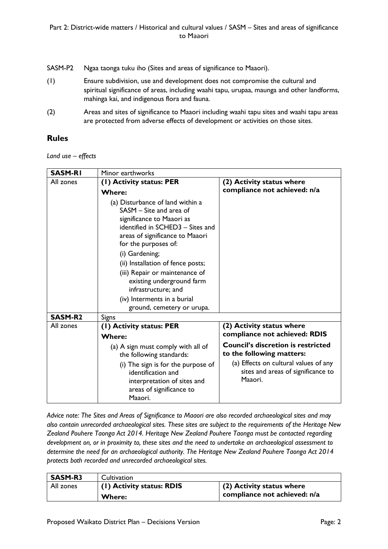- SASM-P2 Ngaa taonga tuku iho (Sites and areas of significance to Maaori).
- (1) Ensure subdivision, use and development does not compromise the cultural and spiritual significance of areas, including waahi tapu, urupaa, maunga and other landforms, mahinga kai, and indigenous flora and fauna.
- (2) Areas and sites of significance to Maaori including waahi tapu sites and waahi tapu areas are protected from adverse effects of development or activities on those sites.

## **Rules**

*Land use – effects*

| <b>SASM-RI</b> | Minor earthworks                                                                                                                                                                                                                                                                                                                                                                                                                               |                                                                                                                                                                                                                                |  |
|----------------|------------------------------------------------------------------------------------------------------------------------------------------------------------------------------------------------------------------------------------------------------------------------------------------------------------------------------------------------------------------------------------------------------------------------------------------------|--------------------------------------------------------------------------------------------------------------------------------------------------------------------------------------------------------------------------------|--|
| All zones      | (1) Activity status: PER<br><b>Where:</b><br>(a) Disturbance of land within a<br>SASM - Site and area of<br>significance to Maaori as<br>identified in SCHED3 - Sites and<br>areas of significance to Maaori<br>for the purposes of:<br>(i) Gardening;<br>(ii) Installation of fence posts;<br>(iii) Repair or maintenance of<br>existing underground farm<br>infrastructure; and<br>(iv) Interments in a burial<br>ground, cemetery or urupa. | (2) Activity status where<br>compliance not achieved: n/a                                                                                                                                                                      |  |
| <b>SASM-R2</b> | <b>Signs</b>                                                                                                                                                                                                                                                                                                                                                                                                                                   |                                                                                                                                                                                                                                |  |
| All zones      | (I) Activity status: PER<br><b>Where:</b><br>(a) A sign must comply with all of<br>the following standards:<br>(i) The sign is for the purpose of<br>identification and<br>interpretation of sites and<br>areas of significance to<br>Maaori.                                                                                                                                                                                                  | (2) Activity status where<br>compliance not achieved: RDIS<br><b>Council's discretion is restricted</b><br>to the following matters:<br>(a) Effects on cultural values of any<br>sites and areas of significance to<br>Maaori. |  |

*Advice note: The Sites and Areas of Significance to Maaori are also recorded archaeological sites and may also contain unrecorded archaeological sites. These sites are subject to the requirements of the Heritage New Zealand Pouhere Taonga Act 2014. Heritage New Zealand Pouhere Taonga must be contacted regarding development on, or in proximity to, these sites and the need to undertake an archaeological assessment to determine the need for an archaeological authority. The Heritage New Zealand Pouhere Taonga Act 2014 protects both recorded and unrecorded archaeological sites.*

| <b>SASM-R3</b> | Cultivation               |                                                           |
|----------------|---------------------------|-----------------------------------------------------------|
| All zones      | (1) Activity status: RDIS | (2) Activity status where<br>compliance not achieved: n/a |
|                | Where:                    |                                                           |